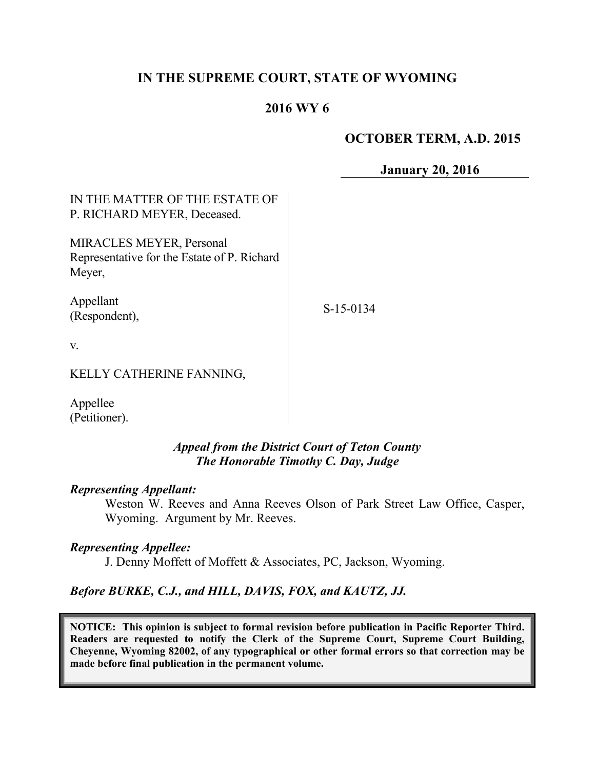# **IN THE SUPREME COURT, STATE OF WYOMING**

# **2016 WY 6**

### **OCTOBER TERM, A.D. 2015**

**January 20, 2016**

| IN THE MATTER OF THE ESTATE OF<br>P. RICHARD MEYER, Deceased.                            |           |
|------------------------------------------------------------------------------------------|-----------|
| <b>MIRACLES MEYER, Personal</b><br>Representative for the Estate of P. Richard<br>Meyer, |           |
| Appellant<br>(Respondent),                                                               | S-15-0134 |
| V.                                                                                       |           |
| KELLY CATHERINE FANNING,                                                                 |           |
| Appellee<br>(Petitioner).                                                                |           |

*Appeal from the District Court of Teton County The Honorable Timothy C. Day, Judge* 

#### *Representing Appellant:*

Weston W. Reeves and Anna Reeves Olson of Park Street Law Office, Casper, Wyoming. Argument by Mr. Reeves.

### *Representing Appellee:*

J. Denny Moffett of Moffett & Associates, PC, Jackson, Wyoming.

*Before BURKE, C.J., and HILL, DAVIS, FOX, and KAUTZ, JJ.*

**NOTICE: This opinion is subject to formal revision before publication in Pacific Reporter Third. Readers are requested to notify the Clerk of the Supreme Court, Supreme Court Building, Cheyenne, Wyoming 82002, of any typographical or other formal errors so that correction may be made before final publication in the permanent volume.**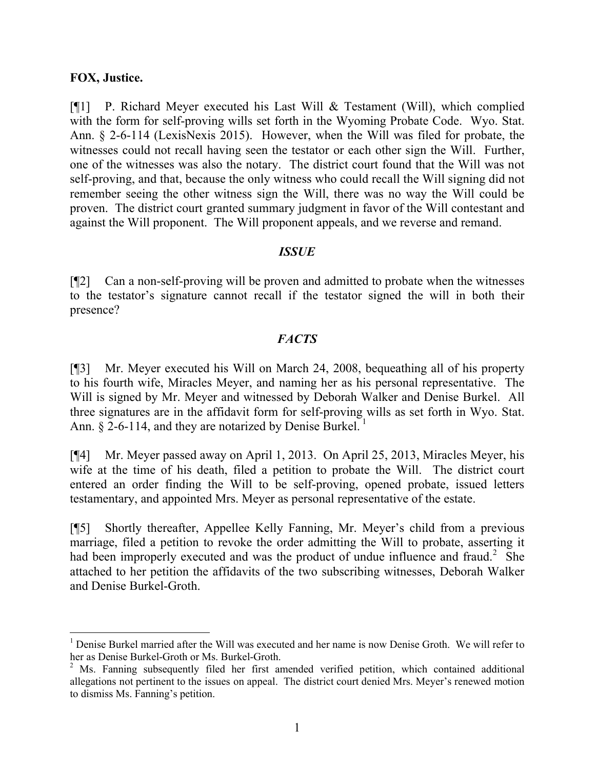### **FOX, Justice.**

[¶1] P. Richard Meyer executed his Last Will & Testament (Will), which complied with the form for self-proving wills set forth in the Wyoming Probate Code. Wyo. Stat. Ann. § 2-6-114 (LexisNexis 2015). However, when the Will was filed for probate, the witnesses could not recall having seen the testator or each other sign the Will. Further, one of the witnesses was also the notary. The district court found that the Will was not self-proving, and that, because the only witness who could recall the Will signing did not remember seeing the other witness sign the Will, there was no way the Will could be proven. The district court granted summary judgment in favor of the Will contestant and against the Will proponent. The Will proponent appeals, and we reverse and remand.

### *ISSUE*

[¶2] Can a non-self-proving will be proven and admitted to probate when the witnesses to the testator's signature cannot recall if the testator signed the will in both their presence?

## *FACTS*

[¶3] Mr. Meyer executed his Will on March 24, 2008, bequeathing all of his property to his fourth wife, Miracles Meyer, and naming her as his personal representative. The Will is signed by Mr. Meyer and witnessed by Deborah Walker and Denise Burkel. All three signatures are in the affidavit form for self-proving wills as set forth in Wyo. Stat. Ann.  $\S$  2-6-114, and they are notarized by Denise Burkel.<sup>1</sup>

[¶4] Mr. Meyer passed away on April 1, 2013. On April 25, 2013, Miracles Meyer, his wife at the time of his death, filed a petition to probate the Will. The district court entered an order finding the Will to be self-proving, opened probate, issued letters testamentary, and appointed Mrs. Meyer as personal representative of the estate.

[¶5] Shortly thereafter, Appellee Kelly Fanning, Mr. Meyer's child from a previous marriage, filed a petition to revoke the order admitting the Will to probate, asserting it had been improperly executed and was the product of undue influence and fraud.<sup>2</sup> She attached to her petition the affidavits of the two subscribing witnesses, Deborah Walker and Denise Burkel-Groth.

<sup>&</sup>lt;sup>1</sup> Denise Burkel married after the Will was executed and her name is now Denise Groth. We will refer to her as Denise Burkel-Groth or Ms. Burkel-Groth.

<sup>&</sup>lt;sup>2</sup> Ms. Fanning subsequently filed her first amended verified petition, which contained additional allegations not pertinent to the issues on appeal. The district court denied Mrs. Meyer's renewed motion to dismiss Ms. Fanning's petition.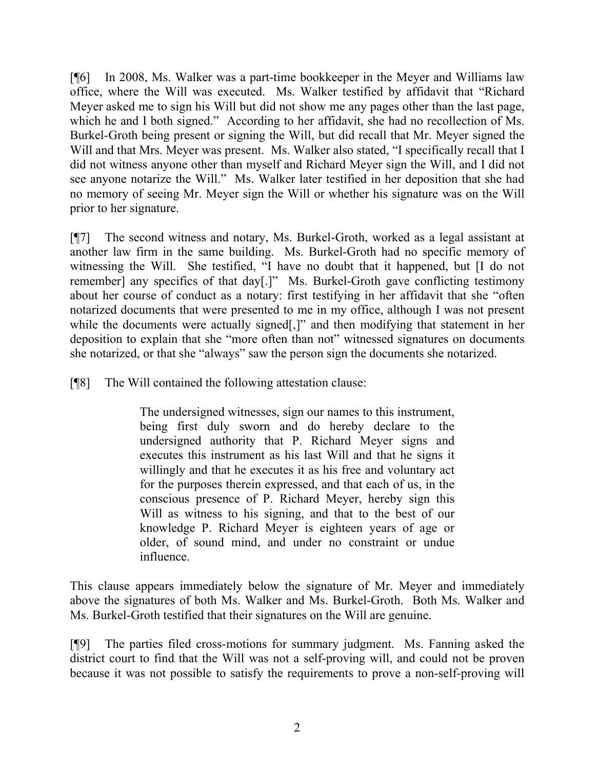[¶6] In 2008, Ms. Walker was a part-time bookkeeper in the Meyer and Williams law office, where the Will was executed. Ms. Walker testified by affidavit that "Richard Meyer asked me to sign his Will but did not show me any pages other than the last page, which he and I both signed." According to her affidavit, she had no recollection of Ms. Burkel-Groth being present or signing the Will, but did recall that Mr. Meyer signed the Will and that Mrs. Meyer was present. Ms. Walker also stated, "I specifically recall that I did not witness anyone other than myself and Richard Meyer sign the Will, and I did not see anyone notarize the Will." Ms. Walker later testified in her deposition that she had no memory of seeing Mr. Meyer sign the Will or whether his signature was on the Will prior to her signature.

[¶7] The second witness and notary, Ms. Burkel-Groth, worked as a legal assistant at another law firm in the same building. Ms. Burkel-Groth had no specific memory of witnessing the Will. She testified, "I have no doubt that it happened, but [I do not remember] any specifics of that day[.]" Ms. Burkel-Groth gave conflicting testimony about her course of conduct as a notary: first testifying in her affidavit that she "often notarized documents that were presented to me in my office, although I was not present while the documents were actually signed[,]" and then modifying that statement in her deposition to explain that she "more often than not" witnessed signatures on documents she notarized, or that she "always" saw the person sign the documents she notarized.

[¶8] The Will contained the following attestation clause:

The undersigned witnesses, sign our names to this instrument, being first duly sworn and do hereby declare to the undersigned authority that P. Richard Meyer signs and executes this instrument as his last Will and that he signs it willingly and that he executes it as his free and voluntary act for the purposes therein expressed, and that each of us, in the conscious presence of P. Richard Meyer, hereby sign this Will as witness to his signing, and that to the best of our knowledge P. Richard Meyer is eighteen years of age or older, of sound mind, and under no constraint or undue influence.

This clause appears immediately below the signature of Mr. Meyer and immediately above the signatures of both Ms. Walker and Ms. Burkel-Groth. Both Ms. Walker and Ms. Burkel-Groth testified that their signatures on the Will are genuine.

[¶9] The parties filed cross-motions for summary judgment. Ms. Fanning asked the district court to find that the Will was not a self-proving will, and could not be proven because it was not possible to satisfy the requirements to prove a non-self-proving will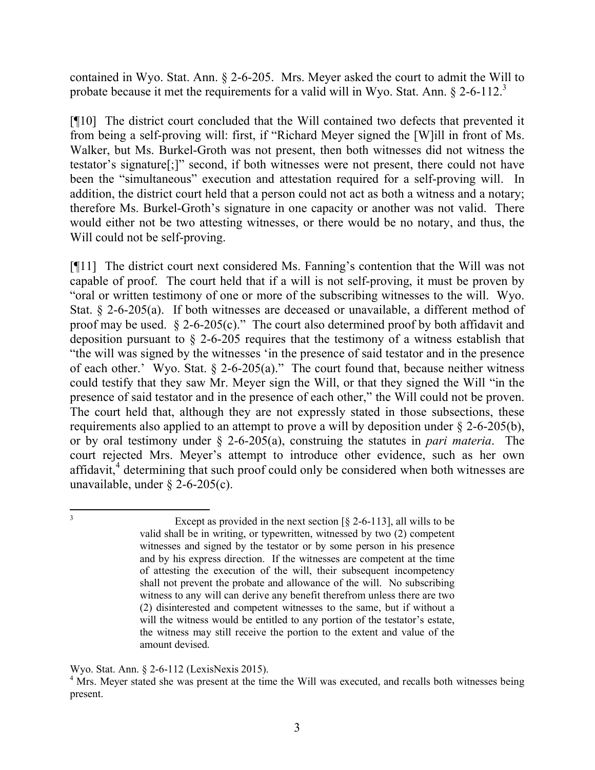contained in Wyo. Stat. Ann. § 2-6-205. Mrs. Meyer asked the court to admit the Will to probate because it met the requirements for a valid will in Wyo. Stat. Ann. § 2-6-112.<sup>3</sup>

[¶10] The district court concluded that the Will contained two defects that prevented it from being a self-proving will: first, if "Richard Meyer signed the [W]ill in front of Ms. Walker, but Ms. Burkel-Groth was not present, then both witnesses did not witness the testator's signature[;]" second, if both witnesses were not present, there could not have been the "simultaneous" execution and attestation required for a self-proving will. In addition, the district court held that a person could not act as both a witness and a notary; therefore Ms. Burkel-Groth's signature in one capacity or another was not valid. There would either not be two attesting witnesses, or there would be no notary, and thus, the Will could not be self-proving.

[¶11] The district court next considered Ms. Fanning's contention that the Will was not capable of proof. The court held that if a will is not self-proving, it must be proven by "oral or written testimony of one or more of the subscribing witnesses to the will. Wyo. Stat. § 2-6-205(a). If both witnesses are deceased or unavailable, a different method of proof may be used.  $\S 2$ -6-205(c)." The court also determined proof by both affidavit and deposition pursuant to § 2-6-205 requires that the testimony of a witness establish that "the will was signed by the witnesses 'in the presence of said testator and in the presence of each other.' Wyo. Stat.  $\S$  2-6-205(a)." The court found that, because neither witness could testify that they saw Mr. Meyer sign the Will, or that they signed the Will "in the presence of said testator and in the presence of each other," the Will could not be proven. The court held that, although they are not expressly stated in those subsections, these requirements also applied to an attempt to prove a will by deposition under § 2-6-205(b), or by oral testimony under § 2-6-205(a), construing the statutes in *pari materia*. The court rejected Mrs. Meyer's attempt to introduce other evidence, such as her own affidavit,<sup>4</sup> determining that such proof could only be considered when both witnesses are unavailable, under § 2-6-205(c).

Except as provided in the next section  $\lceil \frac{5}{2} \cdot 2 - 6 - 11 \cdot 3 \rceil$ , all wills to be valid shall be in writing, or typewritten, witnessed by two (2) competent witnesses and signed by the testator or by some person in his presence and by his express direction. If the witnesses are competent at the time of attesting the execution of the will, their subsequent incompetency shall not prevent the probate and allowance of the will. No subscribing witness to any will can derive any benefit therefrom unless there are two (2) disinterested and competent witnesses to the same, but if without a will the witness would be entitled to any portion of the testator's estate, the witness may still receive the portion to the extent and value of the amount devised.

Wyo. Stat. Ann. § 2-6-112 (LexisNexis 2015).

<sup>&</sup>lt;sup>4</sup> Mrs. Meyer stated she was present at the time the Will was executed, and recalls both witnesses being present.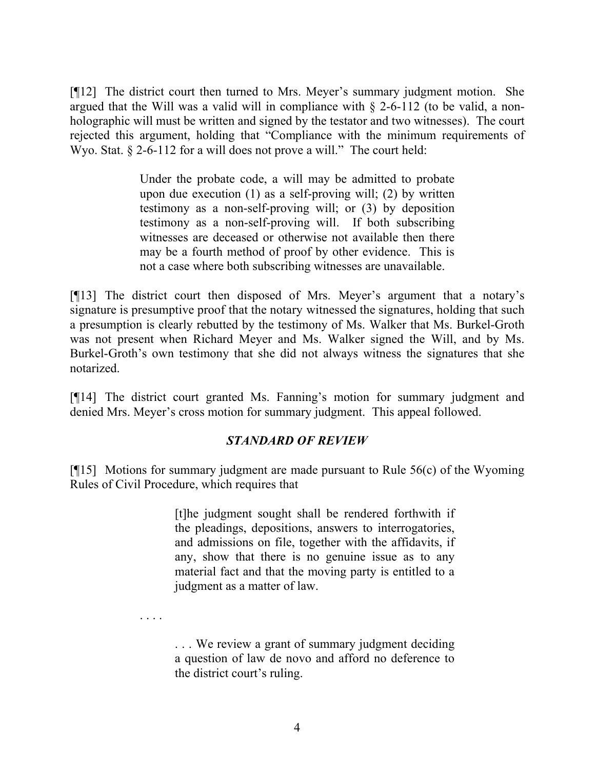[¶12] The district court then turned to Mrs. Meyer's summary judgment motion. She argued that the Will was a valid will in compliance with  $\S$  2-6-112 (to be valid, a nonholographic will must be written and signed by the testator and two witnesses). The court rejected this argument, holding that "Compliance with the minimum requirements of Wyo. Stat. § 2-6-112 for a will does not prove a will." The court held:

> Under the probate code, a will may be admitted to probate upon due execution (1) as a self-proving will; (2) by written testimony as a non-self-proving will; or (3) by deposition testimony as a non-self-proving will. If both subscribing witnesses are deceased or otherwise not available then there may be a fourth method of proof by other evidence. This is not a case where both subscribing witnesses are unavailable.

[¶13] The district court then disposed of Mrs. Meyer's argument that a notary's signature is presumptive proof that the notary witnessed the signatures, holding that such a presumption is clearly rebutted by the testimony of Ms. Walker that Ms. Burkel-Groth was not present when Richard Meyer and Ms. Walker signed the Will, and by Ms. Burkel-Groth's own testimony that she did not always witness the signatures that she notarized.

[¶14] The district court granted Ms. Fanning's motion for summary judgment and denied Mrs. Meyer's cross motion for summary judgment. This appeal followed.

## *STANDARD OF REVIEW*

[¶15] Motions for summary judgment are made pursuant to Rule 56(c) of the Wyoming Rules of Civil Procedure, which requires that

> [t]he judgment sought shall be rendered forthwith if the pleadings, depositions, answers to interrogatories, and admissions on file, together with the affidavits, if any, show that there is no genuine issue as to any material fact and that the moving party is entitled to a judgment as a matter of law.

. . . .

. . . We review a grant of summary judgment deciding a question of law de novo and afford no deference to the district court's ruling.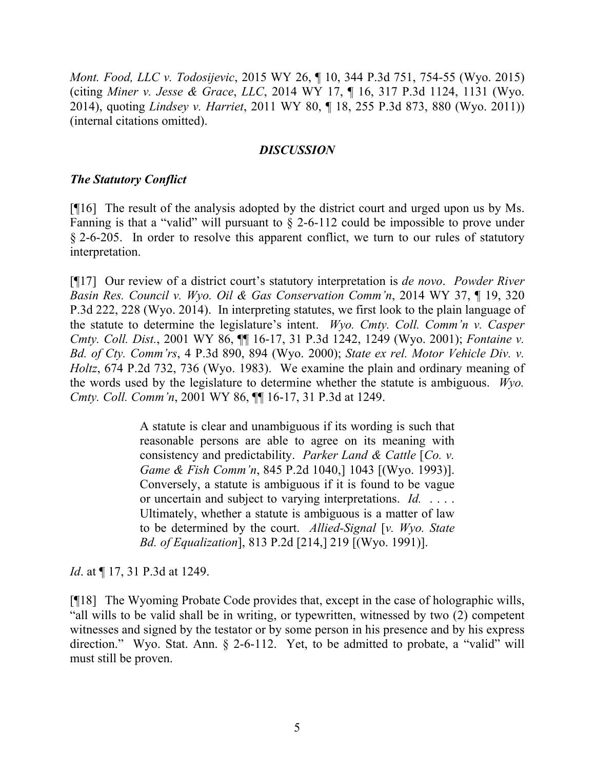*Mont. Food, LLC v. Todosijevic*, 2015 WY 26, ¶ 10, 344 P.3d 751, 754-55 (Wyo. 2015) (citing *Miner v. Jesse & Grace*, *LLC*, 2014 WY 17, ¶ 16, 317 P.3d 1124, 1131 (Wyo. 2014), quoting *Lindsey v. Harriet*, 2011 WY 80, ¶ 18, 255 P.3d 873, 880 (Wyo. 2011)) (internal citations omitted).

### *DISCUSSION*

### *The Statutory Conflict*

[¶16] The result of the analysis adopted by the district court and urged upon us by Ms. Fanning is that a "valid" will pursuant to § 2-6-112 could be impossible to prove under § 2-6-205. In order to resolve this apparent conflict, we turn to our rules of statutory interpretation.

[¶17] Our review of a district court's statutory interpretation is *de novo*. *Powder River Basin Res. Council v. Wyo. Oil & Gas Conservation Comm'n*, 2014 WY 37, ¶ 19, 320 P.3d 222, 228 (Wyo. 2014). In interpreting statutes, we first look to the plain language of the statute to determine the legislature's intent. *Wyo. Cmty. Coll. Comm'n v. Casper Cmty. Coll. Dist.*, 2001 WY 86, ¶¶ 16-17, 31 P.3d 1242, 1249 (Wyo. 2001); *Fontaine v. Bd. of Cty. Comm'rs*, 4 P.3d 890, 894 (Wyo. 2000); *State ex rel. Motor Vehicle Div. v. Holtz*, 674 P.2d 732, 736 (Wyo. 1983). We examine the plain and ordinary meaning of the words used by the legislature to determine whether the statute is ambiguous. *Wyo. Cmty. Coll. Comm'n*, 2001 WY 86, ¶¶ 16-17, 31 P.3d at 1249.

> A statute is clear and unambiguous if its wording is such that reasonable persons are able to agree on its meaning with consistency and predictability. *Parker Land & Cattle* [*Co. v. Game & Fish Comm'n*, 845 P.2d 1040,] 1043 [(Wyo. 1993)]. Conversely, a statute is ambiguous if it is found to be vague or uncertain and subject to varying interpretations. *Id.* . . . . Ultimately, whether a statute is ambiguous is a matter of law to be determined by the court. *Allied-Signal* [*v. Wyo. State Bd. of Equalization*], 813 P.2d [214,] 219 [(Wyo. 1991)].

*Id.* at  $\P$  17, 31 P.3d at 1249.

[¶18] The Wyoming Probate Code provides that, except in the case of holographic wills, "all wills to be valid shall be in writing, or typewritten, witnessed by two (2) competent witnesses and signed by the testator or by some person in his presence and by his express direction." Wyo. Stat. Ann. § 2-6-112. Yet, to be admitted to probate, a "valid" will must still be proven.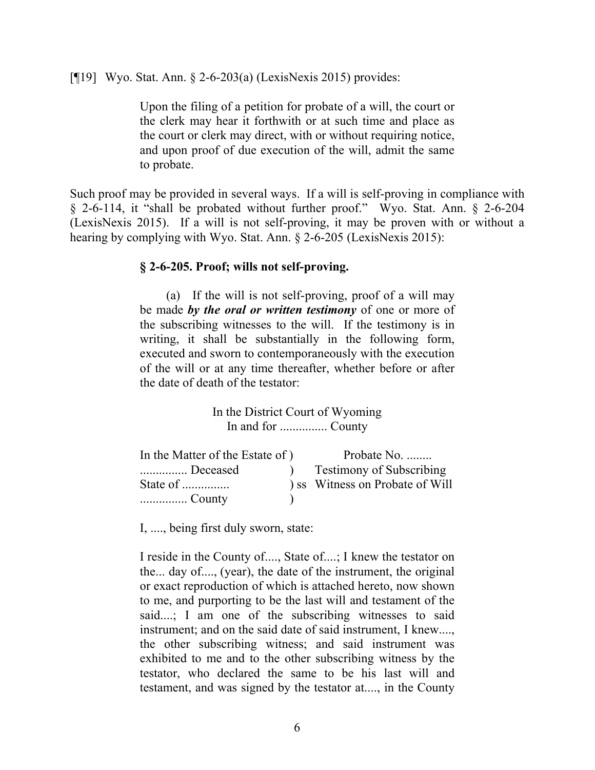[¶19] Wyo. Stat. Ann. § 2-6-203(a) (LexisNexis 2015) provides:

Upon the filing of a petition for probate of a will, the court or the clerk may hear it forthwith or at such time and place as the court or clerk may direct, with or without requiring notice, and upon proof of due execution of the will, admit the same to probate.

Such proof may be provided in several ways. If a will is self-proving in compliance with § 2-6-114, it "shall be probated without further proof." Wyo. Stat. Ann. § 2-6-204 (LexisNexis 2015). If a will is not self-proving, it may be proven with or without a hearing by complying with Wyo. Stat. Ann. § 2-6-205 (LexisNexis 2015):

### **§ 2-6-205. Proof; wills not self-proving.**

(a) If the will is not self-proving, proof of a will may be made *by the oral or written testimony* of one or more of the subscribing witnesses to the will. If the testimony is in writing, it shall be substantially in the following form, executed and sworn to contemporaneously with the execution of the will or at any time thereafter, whether before or after the date of death of the testator:

> In the District Court of Wyoming In and for ............... County

| In the Matter of the Estate of ) | Probate No.                     |
|----------------------------------|---------------------------------|
| Deceased                         | <b>Testimony of Subscribing</b> |
| State of $\ldots$                | ) ss Witness on Probate of Will |
|                                  |                                 |

I, ...., being first duly sworn, state:

I reside in the County of...., State of....; I knew the testator on the... day of...., (year), the date of the instrument, the original or exact reproduction of which is attached hereto, now shown to me, and purporting to be the last will and testament of the said....; I am one of the subscribing witnesses to said instrument; and on the said date of said instrument, I knew...., the other subscribing witness; and said instrument was exhibited to me and to the other subscribing witness by the testator, who declared the same to be his last will and testament, and was signed by the testator at...., in the County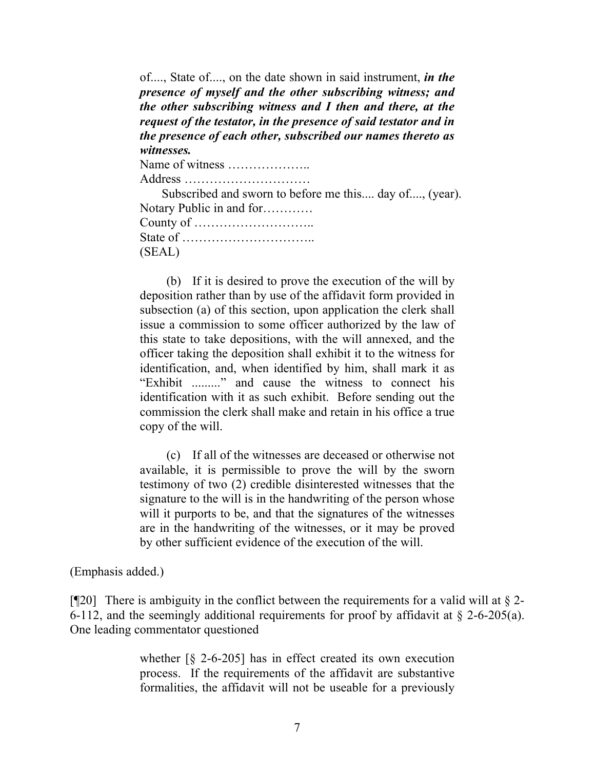of...., State of...., on the date shown in said instrument, *in the presence of myself and the other subscribing witness; and the other subscribing witness and I then and there, at the request of the testator, in the presence of said testator and in the presence of each other, subscribed our names thereto as witnesses.*

Name of witness ………………..

Address …………………………

Subscribed and sworn to before me this.... day of...., (year). Notary Public in and for………… County of ……………………….. State of ………………………….. (SEAL)

(b) If it is desired to prove the execution of the will by deposition rather than by use of the affidavit form provided in subsection (a) of this section, upon application the clerk shall issue a commission to some officer authorized by the law of this state to take depositions, with the will annexed, and the officer taking the deposition shall exhibit it to the witness for identification, and, when identified by him, shall mark it as "Exhibit ........." and cause the witness to connect his identification with it as such exhibit. Before sending out the commission the clerk shall make and retain in his office a true copy of the will.

(c) If all of the witnesses are deceased or otherwise not available, it is permissible to prove the will by the sworn testimony of two (2) credible disinterested witnesses that the signature to the will is in the handwriting of the person whose will it purports to be, and that the signatures of the witnesses are in the handwriting of the witnesses, or it may be proved by other sufficient evidence of the execution of the will.

(Emphasis added.)

[ $\sqrt{20}$ ] There is ambiguity in the conflict between the requirements for a valid will at § 2-6-112, and the seemingly additional requirements for proof by affidavit at § 2-6-205(a). One leading commentator questioned

> whether [§ 2-6-205] has in effect created its own execution process. If the requirements of the affidavit are substantive formalities, the affidavit will not be useable for a previously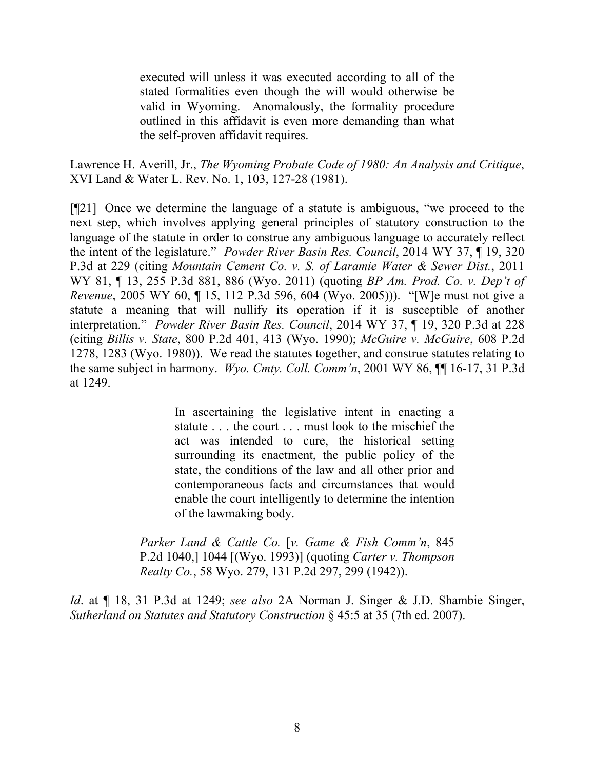executed will unless it was executed according to all of the stated formalities even though the will would otherwise be valid in Wyoming. Anomalously, the formality procedure outlined in this affidavit is even more demanding than what the self-proven affidavit requires.

Lawrence H. Averill, Jr., *The Wyoming Probate Code of 1980: An Analysis and Critique*, XVI Land & Water L. Rev. No. 1, 103, 127-28 (1981).

[¶21] Once we determine the language of a statute is ambiguous, "we proceed to the next step, which involves applying general principles of statutory construction to the language of the statute in order to construe any ambiguous language to accurately reflect the intent of the legislature." *Powder River Basin Res. Council*, 2014 WY 37, ¶ 19, 320 P.3d at 229 (citing *Mountain Cement Co. v. S. of Laramie Water & Sewer Dist.*, 2011 WY 81, ¶ 13, 255 P.3d 881, 886 (Wyo. 2011) (quoting *BP Am. Prod. Co. v. Dep't of Revenue*, 2005 WY 60, ¶ 15, 112 P.3d 596, 604 (Wyo. 2005))). "[W]e must not give a statute a meaning that will nullify its operation if it is susceptible of another interpretation." *Powder River Basin Res. Council*, 2014 WY 37, ¶ 19, 320 P.3d at 228 (citing *Billis v. State*, 800 P.2d 401, 413 (Wyo. 1990); *McGuire v. McGuire*, 608 P.2d 1278, 1283 (Wyo. 1980)). We read the statutes together, and construe statutes relating to the same subject in harmony. *Wyo. Cmty. Coll. Comm'n*, 2001 WY 86, ¶¶ 16-17, 31 P.3d at 1249.

> In ascertaining the legislative intent in enacting a statute . . . the court . . . must look to the mischief the act was intended to cure, the historical setting surrounding its enactment, the public policy of the state, the conditions of the law and all other prior and contemporaneous facts and circumstances that would enable the court intelligently to determine the intention of the lawmaking body.

*Parker Land & Cattle Co.* [*v. Game & Fish Comm'n*, 845 P.2d 1040,] 1044 [(Wyo. 1993)] (quoting *Carter v. Thompson Realty Co.*, 58 Wyo. 279, 131 P.2d 297, 299 (1942)).

*Id*. at ¶ 18, 31 P.3d at 1249; *see also* 2A Norman J. Singer & J.D. Shambie Singer, *Sutherland on Statutes and Statutory Construction* § 45:5 at 35 (7th ed. 2007).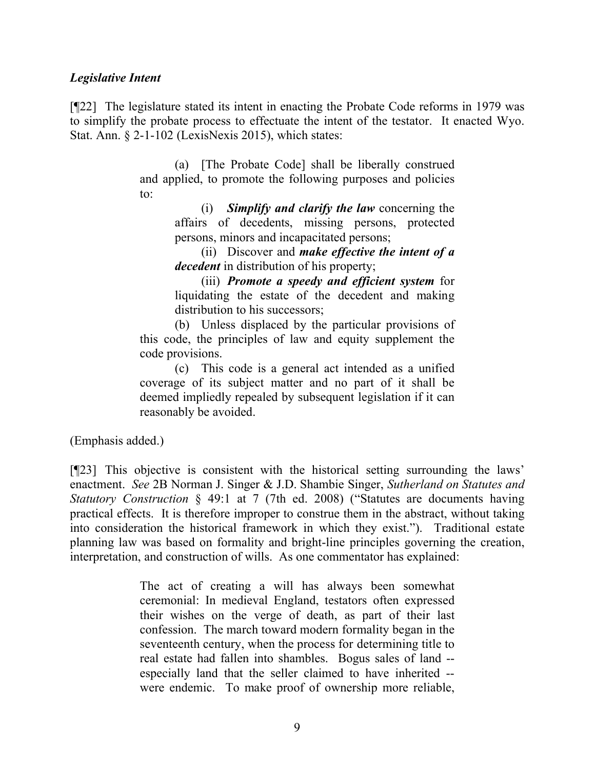### *Legislative Intent*

[¶22] The legislature stated its intent in enacting the Probate Code reforms in 1979 was to simplify the probate process to effectuate the intent of the testator. It enacted Wyo. Stat. Ann. § 2-1-102 (LexisNexis 2015), which states:

> (a) [The Probate Code] shall be liberally construed and applied, to promote the following purposes and policies to:

> > (i) *Simplify and clarify the law* concerning the affairs of decedents, missing persons, protected persons, minors and incapacitated persons;

> > (ii) Discover and *make effective the intent of a decedent* in distribution of his property;

> > (iii) *Promote a speedy and efficient system* for liquidating the estate of the decedent and making distribution to his successors;

(b) Unless displaced by the particular provisions of this code, the principles of law and equity supplement the code provisions.

(c) This code is a general act intended as a unified coverage of its subject matter and no part of it shall be deemed impliedly repealed by subsequent legislation if it can reasonably be avoided.

(Emphasis added.)

[¶23] This objective is consistent with the historical setting surrounding the laws' enactment. *See* 2B Norman J. Singer & J.D. Shambie Singer, *Sutherland on Statutes and Statutory Construction* § 49:1 at 7 (7th ed. 2008) ("Statutes are documents having practical effects. It is therefore improper to construe them in the abstract, without taking into consideration the historical framework in which they exist."). Traditional estate planning law was based on formality and bright-line principles governing the creation, interpretation, and construction of wills. As one commentator has explained:

> The act of creating a will has always been somewhat ceremonial: In medieval England, testators often expressed their wishes on the verge of death, as part of their last confession. The march toward modern formality began in the seventeenth century, when the process for determining title to real estate had fallen into shambles. Bogus sales of land - especially land that the seller claimed to have inherited - were endemic. To make proof of ownership more reliable,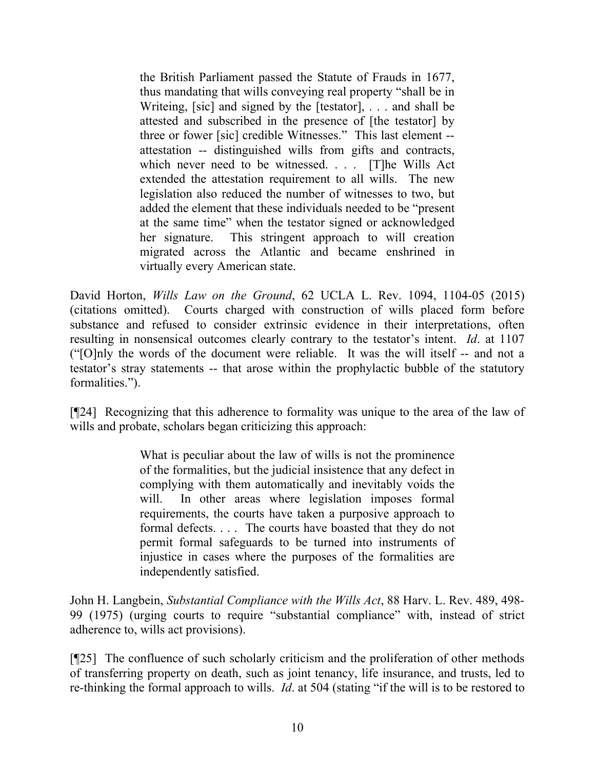the British Parliament passed the Statute of Frauds in 1677, thus mandating that wills conveying real property "shall be in Writeing, [sic] and signed by the [testator], . . . and shall be attested and subscribed in the presence of [the testator] by three or fower [sic] credible Witnesses." This last element - attestation -- distinguished wills from gifts and contracts, which never need to be witnessed. . . . [T]he Wills Act extended the attestation requirement to all wills. The new legislation also reduced the number of witnesses to two, but added the element that these individuals needed to be "present at the same time" when the testator signed or acknowledged her signature. This stringent approach to will creation migrated across the Atlantic and became enshrined in virtually every American state.

David Horton, *Wills Law on the Ground*, 62 UCLA L. Rev. 1094, 1104-05 (2015) (citations omitted). Courts charged with construction of wills placed form before substance and refused to consider extrinsic evidence in their interpretations, often resulting in nonsensical outcomes clearly contrary to the testator's intent. *Id*. at 1107 ("[O]nly the words of the document were reliable. It was the will itself -- and not a testator's stray statements -- that arose within the prophylactic bubble of the statutory formalities.").

[¶24] Recognizing that this adherence to formality was unique to the area of the law of wills and probate, scholars began criticizing this approach:

> What is peculiar about the law of wills is not the prominence of the formalities, but the judicial insistence that any defect in complying with them automatically and inevitably voids the will. In other areas where legislation imposes formal requirements, the courts have taken a purposive approach to formal defects. . . . The courts have boasted that they do not permit formal safeguards to be turned into instruments of injustice in cases where the purposes of the formalities are independently satisfied.

John H. Langbein, *Substantial Compliance with the Wills Act*, 88 Harv. L. Rev. 489, 498- 99 (1975) (urging courts to require "substantial compliance" with, instead of strict adherence to, wills act provisions).

[¶25] The confluence of such scholarly criticism and the proliferation of other methods of transferring property on death, such as joint tenancy, life insurance, and trusts, led to re-thinking the formal approach to wills. *Id*. at 504 (stating "if the will is to be restored to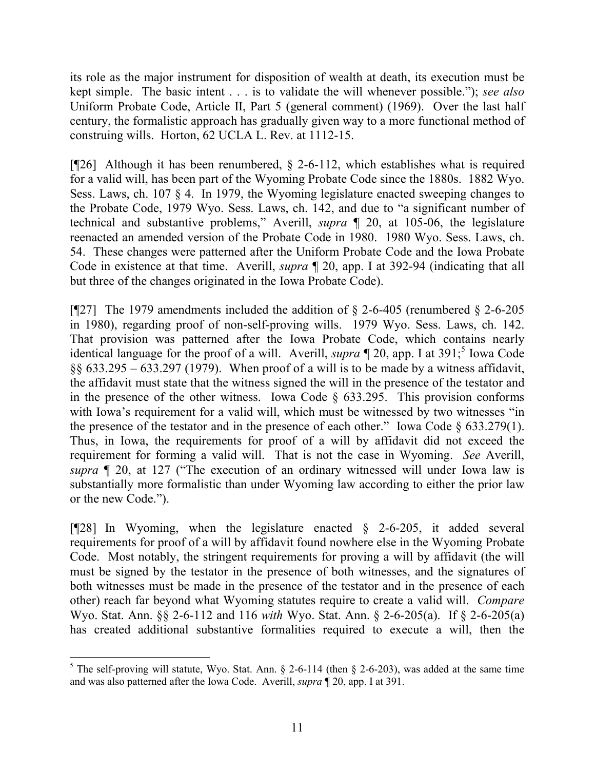its role as the major instrument for disposition of wealth at death, its execution must be kept simple. The basic intent . . . is to validate the will whenever possible."); *see also* Uniform Probate Code, Article II, Part 5 (general comment) (1969). Over the last half century, the formalistic approach has gradually given way to a more functional method of construing wills. Horton, 62 UCLA L. Rev. at 1112-15.

[¶26] Although it has been renumbered, § 2-6-112, which establishes what is required for a valid will, has been part of the Wyoming Probate Code since the 1880s. 1882 Wyo. Sess. Laws, ch. 107 § 4. In 1979, the Wyoming legislature enacted sweeping changes to the Probate Code, 1979 Wyo. Sess. Laws, ch. 142, and due to "a significant number of technical and substantive problems," Averill, *supra* ¶ 20, at 105-06, the legislature reenacted an amended version of the Probate Code in 1980. 1980 Wyo. Sess. Laws, ch. 54. These changes were patterned after the Uniform Probate Code and the Iowa Probate Code in existence at that time. Averill, *supra* ¶ 20, app. I at 392-94 (indicating that all but three of the changes originated in the Iowa Probate Code).

[¶27] The 1979 amendments included the addition of  $\S$  2-6-405 (renumbered  $\S$  2-6-205 in 1980), regarding proof of non-self-proving wills. 1979 Wyo. Sess. Laws, ch. 142. That provision was patterned after the Iowa Probate Code, which contains nearly identical language for the proof of a will. Averill, *supra*  $\P$  20, app. I at 391;<sup>5</sup> Iowa Code  $§§ 633.295 - 633.297 (1979)$ . When proof of a will is to be made by a witness affidavit, the affidavit must state that the witness signed the will in the presence of the testator and in the presence of the other witness. Iowa Code  $\S$  633.295. This provision conforms with Iowa's requirement for a valid will, which must be witnessed by two witnesses "in the presence of the testator and in the presence of each other." Iowa Code  $\S$  633.279(1). Thus, in Iowa, the requirements for proof of a will by affidavit did not exceed the requirement for forming a valid will. That is not the case in Wyoming. *See* Averill, *supra* ¶ 20, at 127 ("The execution of an ordinary witnessed will under Iowa law is substantially more formalistic than under Wyoming law according to either the prior law or the new Code.").

[¶28] In Wyoming, when the legislature enacted § 2-6-205, it added several requirements for proof of a will by affidavit found nowhere else in the Wyoming Probate Code. Most notably, the stringent requirements for proving a will by affidavit (the will must be signed by the testator in the presence of both witnesses, and the signatures of both witnesses must be made in the presence of the testator and in the presence of each other) reach far beyond what Wyoming statutes require to create a valid will. *Compare* Wyo. Stat. Ann. §§ 2-6-112 and 116 *with* Wyo. Stat. Ann. § 2-6-205(a). If § 2-6-205(a) has created additional substantive formalities required to execute a will, then the

 $5$  The self-proving will statute, Wyo. Stat. Ann. § 2-6-114 (then § 2-6-203), was added at the same time and was also patterned after the Iowa Code. Averill, *supra* ¶ 20, app. I at 391.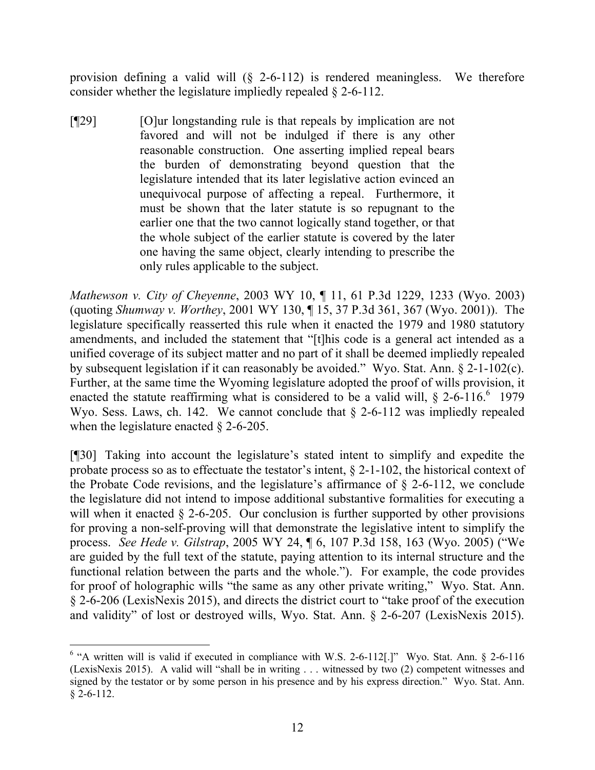provision defining a valid will (§ 2-6-112) is rendered meaningless. We therefore consider whether the legislature impliedly repealed § 2-6-112.

[¶29] [O]ur longstanding rule is that repeals by implication are not favored and will not be indulged if there is any other reasonable construction. One asserting implied repeal bears the burden of demonstrating beyond question that the legislature intended that its later legislative action evinced an unequivocal purpose of affecting a repeal. Furthermore, it must be shown that the later statute is so repugnant to the earlier one that the two cannot logically stand together, or that the whole subject of the earlier statute is covered by the later one having the same object, clearly intending to prescribe the only rules applicable to the subject.

*Mathewson v. City of Cheyenne*, 2003 WY 10, ¶ 11, 61 P.3d 1229, 1233 (Wyo. 2003) (quoting *Shumway v. Worthey*, 2001 WY 130, ¶ 15, 37 P.3d 361, 367 (Wyo. 2001)). The legislature specifically reasserted this rule when it enacted the 1979 and 1980 statutory amendments, and included the statement that "[t]his code is a general act intended as a unified coverage of its subject matter and no part of it shall be deemed impliedly repealed by subsequent legislation if it can reasonably be avoided." Wyo. Stat. Ann. § 2-1-102(c). Further, at the same time the Wyoming legislature adopted the proof of wills provision, it enacted the statute reaffirming what is considered to be a valid will,  $\S$  2-6-116.<sup>6</sup> 1979 Wyo. Sess. Laws, ch. 142. We cannot conclude that  $\S$  2-6-112 was impliedly repealed when the legislature enacted  $\S$  2-6-205.

[¶30] Taking into account the legislature's stated intent to simplify and expedite the probate process so as to effectuate the testator's intent, § 2-1-102, the historical context of the Probate Code revisions, and the legislature's affirmance of  $\S$  2-6-112, we conclude the legislature did not intend to impose additional substantive formalities for executing a will when it enacted § 2-6-205. Our conclusion is further supported by other provisions for proving a non-self-proving will that demonstrate the legislative intent to simplify the process. *See Hede v. Gilstrap*, 2005 WY 24, ¶ 6, 107 P.3d 158, 163 (Wyo. 2005) ("We are guided by the full text of the statute, paying attention to its internal structure and the functional relation between the parts and the whole."). For example, the code provides for proof of holographic wills "the same as any other private writing," Wyo. Stat. Ann. § 2-6-206 (LexisNexis 2015), and directs the district court to "take proof of the execution and validity" of lost or destroyed wills, Wyo. Stat. Ann. § 2-6-207 (LexisNexis 2015).

<sup>&</sup>lt;sup>6</sup> "A written will is valid if executed in compliance with W.S. 2-6-112[.]" Wyo. Stat. Ann. § 2-6-116 (LexisNexis 2015). A valid will "shall be in writing . . . witnessed by two (2) competent witnesses and signed by the testator or by some person in his presence and by his express direction." Wyo. Stat. Ann. § 2-6-112.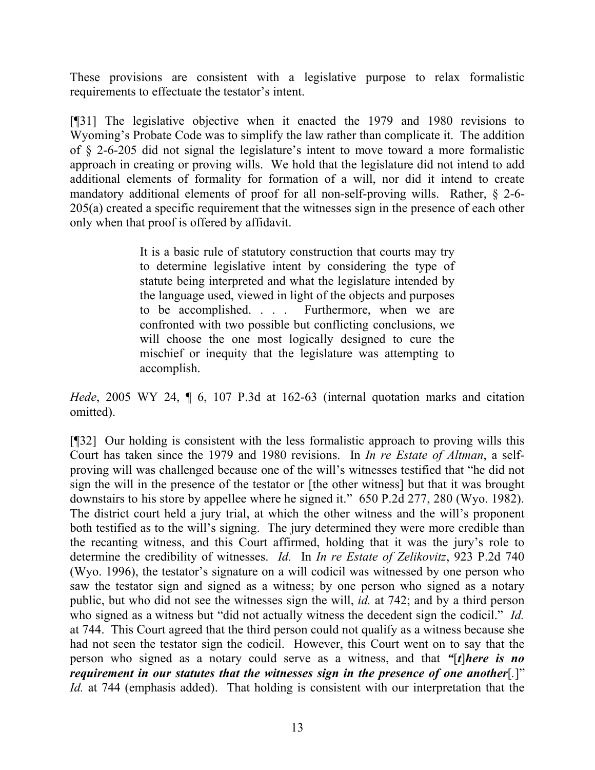These provisions are consistent with a legislative purpose to relax formalistic requirements to effectuate the testator's intent.

[¶31] The legislative objective when it enacted the 1979 and 1980 revisions to Wyoming's Probate Code was to simplify the law rather than complicate it. The addition of § 2-6-205 did not signal the legislature's intent to move toward a more formalistic approach in creating or proving wills. We hold that the legislature did not intend to add additional elements of formality for formation of a will, nor did it intend to create mandatory additional elements of proof for all non-self-proving wills. Rather, § 2-6- 205(a) created a specific requirement that the witnesses sign in the presence of each other only when that proof is offered by affidavit.

> It is a basic rule of statutory construction that courts may try to determine legislative intent by considering the type of statute being interpreted and what the legislature intended by the language used, viewed in light of the objects and purposes to be accomplished. . . . Furthermore, when we are confronted with two possible but conflicting conclusions, we will choose the one most logically designed to cure the mischief or inequity that the legislature was attempting to accomplish.

*Hede*, 2005 WY 24, ¶ 6, 107 P.3d at 162-63 (internal quotation marks and citation omitted).

[¶32] Our holding is consistent with the less formalistic approach to proving wills this Court has taken since the 1979 and 1980 revisions. In *In re Estate of Altman*, a selfproving will was challenged because one of the will's witnesses testified that "he did not sign the will in the presence of the testator or [the other witness] but that it was brought downstairs to his store by appellee where he signed it." 650 P.2d 277, 280 (Wyo. 1982). The district court held a jury trial, at which the other witness and the will's proponent both testified as to the will's signing. The jury determined they were more credible than the recanting witness, and this Court affirmed, holding that it was the jury's role to determine the credibility of witnesses. *Id.* In *In re Estate of Zelikovitz*, 923 P.2d 740 (Wyo. 1996), the testator's signature on a will codicil was witnessed by one person who saw the testator sign and signed as a witness; by one person who signed as a notary public, but who did not see the witnesses sign the will, *id.* at 742; and by a third person who signed as a witness but "did not actually witness the decedent sign the codicil." *Id.* at 744. This Court agreed that the third person could not qualify as a witness because she had not seen the testator sign the codicil. However, this Court went on to say that the person who signed as a notary could serve as a witness, and that *"*[*t*]*here is no requirement in our statutes that the witnesses sign in the presence of one another*[*.*]" *Id.* at 744 (emphasis added). That holding is consistent with our interpretation that the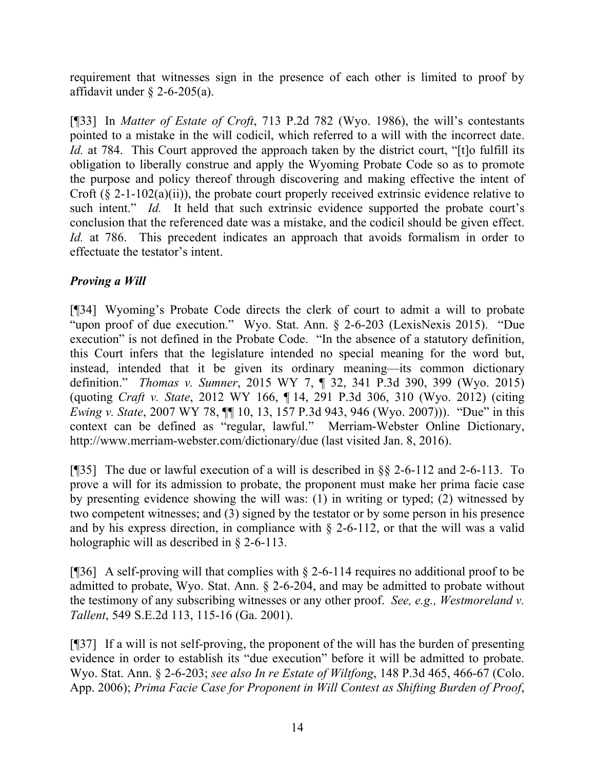requirement that witnesses sign in the presence of each other is limited to proof by affidavit under  $\S$  2-6-205(a).

[¶33] In *Matter of Estate of Croft*, 713 P.2d 782 (Wyo. 1986), the will's contestants pointed to a mistake in the will codicil, which referred to a will with the incorrect date. *Id.* at 784. This Court approved the approach taken by the district court, "[t]o fulfill its obligation to liberally construe and apply the Wyoming Probate Code so as to promote the purpose and policy thereof through discovering and making effective the intent of Croft  $(\xi$  2-1-102(a)(ii)), the probate court properly received extrinsic evidence relative to such intent." *Id.* It held that such extrinsic evidence supported the probate court's conclusion that the referenced date was a mistake, and the codicil should be given effect. *Id.* at 786. This precedent indicates an approach that avoids formalism in order to effectuate the testator's intent.

# *Proving a Will*

[¶34] Wyoming's Probate Code directs the clerk of court to admit a will to probate "upon proof of due execution." Wyo. Stat. Ann. § 2-6-203 (LexisNexis 2015). "Due execution" is not defined in the Probate Code. "In the absence of a statutory definition, this Court infers that the legislature intended no special meaning for the word but, instead, intended that it be given its ordinary meaning—its common dictionary definition." *Thomas v. Sumner*, 2015 WY 7, ¶ 32, 341 P.3d 390, 399 (Wyo. 2015) (quoting *Craft v. State*, 2012 WY 166, ¶ 14, 291 P.3d 306, 310 (Wyo. 2012) (citing *Ewing v. State*, 2007 WY 78,  $\P$  10, 13, 157 P.3d 943, 946 (Wyo. 2007))). "Due" in this context can be defined as "regular, lawful." Merriam-Webster Online Dictionary, http://www.merriam-webster.com/dictionary/due (last visited Jan. 8, 2016).

[¶35] The due or lawful execution of a will is described in §§ 2-6-112 and 2-6-113. To prove a will for its admission to probate, the proponent must make her prima facie case by presenting evidence showing the will was: (1) in writing or typed; (2) witnessed by two competent witnesses; and (3) signed by the testator or by some person in his presence and by his express direction, in compliance with  $\S$  2-6-112, or that the will was a valid holographic will as described in § 2-6-113.

[ $[$ ][36] A self-proving will that complies with  $\S$  2-6-114 requires no additional proof to be admitted to probate, Wyo. Stat. Ann. § 2-6-204, and may be admitted to probate without the testimony of any subscribing witnesses or any other proof. *See, e.g., Westmoreland v. Tallent*, 549 S.E.2d 113, 115-16 (Ga. 2001).

[¶37] If a will is not self-proving, the proponent of the will has the burden of presenting evidence in order to establish its "due execution" before it will be admitted to probate. Wyo. Stat. Ann. § 2-6-203; *see also In re Estate of Wiltfong*, 148 P.3d 465, 466-67 (Colo. App. 2006); *Prima Facie Case for Proponent in Will Contest as Shifting Burden of Proof*,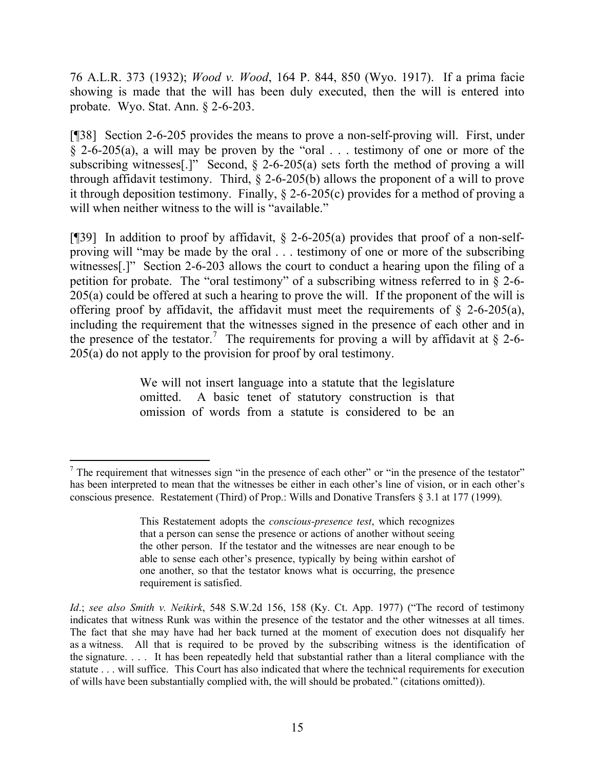76 A.L.R. 373 (1932); *Wood v. Wood*, 164 P. 844, 850 (Wyo. 1917). If a prima facie showing is made that the will has been duly executed, then the will is entered into probate. Wyo. Stat. Ann. § 2-6-203.

[¶38] Section 2-6-205 provides the means to prove a non-self-proving will. First, under  $\frac{1}{2}$  2-6-205(a), a will may be proven by the "oral . . . testimony of one or more of the subscribing witnesses[.]" Second,  $\S$  2-6-205(a) sets forth the method of proving a will through affidavit testimony. Third, § 2-6-205(b) allows the proponent of a will to prove it through deposition testimony. Finally,  $\S$  2-6-205(c) provides for a method of proving a will when neither witness to the will is "available."

[¶39] In addition to proof by affidavit,  $\S$  2-6-205(a) provides that proof of a non-selfproving will "may be made by the oral . . . testimony of one or more of the subscribing witnesses[.]" Section 2-6-203 allows the court to conduct a hearing upon the filing of a petition for probate. The "oral testimony" of a subscribing witness referred to in § 2-6- 205(a) could be offered at such a hearing to prove the will. If the proponent of the will is offering proof by affidavit, the affidavit must meet the requirements of  $\S$  2-6-205(a), including the requirement that the witnesses signed in the presence of each other and in the presence of the testator.<sup>7</sup> The requirements for proving a will by affidavit at  $\S$  2-6-205(a) do not apply to the provision for proof by oral testimony.

> We will not insert language into a statute that the legislature omitted. A basic tenet of statutory construction is that omission of words from a statute is considered to be an

  $<sup>7</sup>$  The requirement that witnesses sign "in the presence of each other" or "in the presence of the testator"</sup> has been interpreted to mean that the witnesses be either in each other's line of vision, or in each other's conscious presence. Restatement (Third) of Prop.: Wills and Donative Transfers § 3.1 at 177 (1999).

This Restatement adopts the *conscious-presence test*, which recognizes that a person can sense the presence or actions of another without seeing the other person. If the testator and the witnesses are near enough to be able to sense each other's presence, typically by being within earshot of one another, so that the testator knows what is occurring, the presence requirement is satisfied.

*Id*.; *see also Smith v. Neikirk*, 548 S.W.2d 156, 158 (Ky. Ct. App. 1977) ("The record of testimony indicates that witness Runk was within the presence of the testator and the other witnesses at all times. The fact that she may have had her back turned at the moment of execution does not disqualify her as a witness. All that is required to be proved by the subscribing witness is the identification of the signature. . . . It has been repeatedly held that substantial rather than a literal compliance with the statute . . . will suffice. This Court has also indicated that where the technical requirements for execution of wills have been substantially complied with, the will should be probated." (citations omitted)).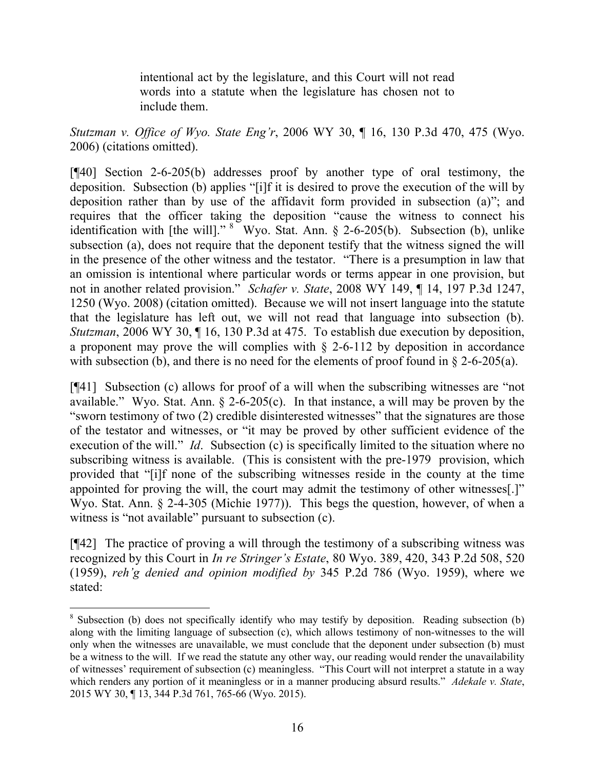intentional act by the legislature, and this Court will not read words into a statute when the legislature has chosen not to include them.

*Stutzman v. Office of Wyo. State Eng'r*, 2006 WY 30, ¶ 16, 130 P.3d 470, 475 (Wyo. 2006) (citations omitted).

[¶40] Section 2-6-205(b) addresses proof by another type of oral testimony, the deposition. Subsection (b) applies "[i]f it is desired to prove the execution of the will by deposition rather than by use of the affidavit form provided in subsection (a)"; and requires that the officer taking the deposition "cause the witness to connect his identification with [the will]."  $8$  Wyo. Stat. Ann. § 2-6-205(b). Subsection (b), unlike subsection (a), does not require that the deponent testify that the witness signed the will in the presence of the other witness and the testator. "There is a presumption in law that an omission is intentional where particular words or terms appear in one provision, but not in another related provision." *Schafer v. State*, 2008 WY 149, ¶ 14, 197 P.3d 1247, 1250 (Wyo. 2008) (citation omitted). Because we will not insert language into the statute that the legislature has left out, we will not read that language into subsection (b). *Stutzman*, 2006 WY 30, 116, 130 P.3d at 475. To establish due execution by deposition, a proponent may prove the will complies with  $\S$  2-6-112 by deposition in accordance with subsection (b), and there is no need for the elements of proof found in  $\S$  2-6-205(a).

[¶41] Subsection (c) allows for proof of a will when the subscribing witnesses are "not available." Wyo. Stat. Ann.  $\S$  2-6-205(c). In that instance, a will may be proven by the "sworn testimony of two (2) credible disinterested witnesses" that the signatures are those of the testator and witnesses, or "it may be proved by other sufficient evidence of the execution of the will." *Id*. Subsection (c) is specifically limited to the situation where no subscribing witness is available. (This is consistent with the pre-1979 provision, which provided that "[i]f none of the subscribing witnesses reside in the county at the time appointed for proving the will, the court may admit the testimony of other witnesses[.]" Wyo. Stat. Ann. § 2-4-305 (Michie 1977)). This begs the question, however, of when a witness is "not available" pursuant to subsection (c).

[¶42] The practice of proving a will through the testimony of a subscribing witness was recognized by this Court in *In re Stringer's Estate*, 80 Wyo. 389, 420, 343 P.2d 508, 520 (1959), *reh'g denied and opinion modified by* 345 P.2d 786 (Wyo. 1959), where we stated:

<sup>&</sup>lt;sup>8</sup> Subsection (b) does not specifically identify who may testify by deposition. Reading subsection (b) along with the limiting language of subsection (c), which allows testimony of non-witnesses to the will only when the witnesses are unavailable, we must conclude that the deponent under subsection (b) must be a witness to the will. If we read the statute any other way, our reading would render the unavailability of witnesses' requirement of subsection (c) meaningless. "This Court will not interpret a statute in a way which renders any portion of it meaningless or in a manner producing absurd results." *Adekale v. State*, 2015 WY 30, ¶ 13, 344 P.3d 761, 765-66 (Wyo. 2015).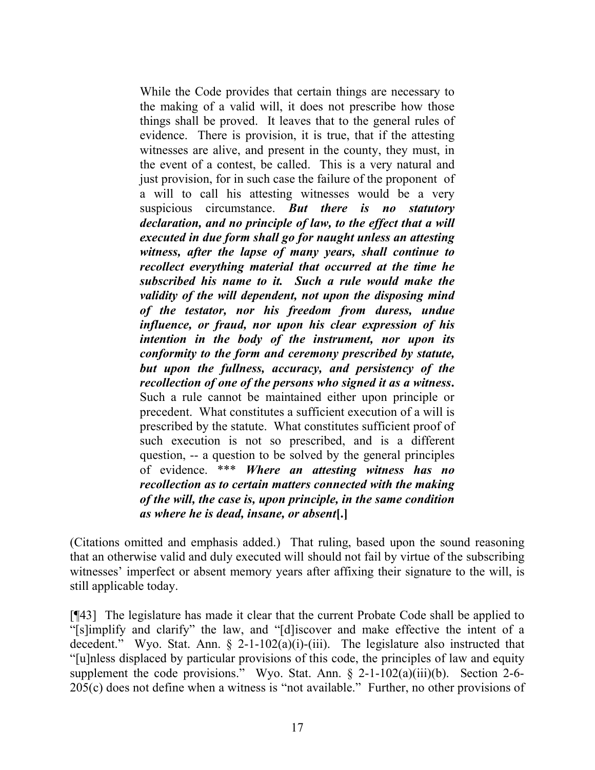While the Code provides that certain things are necessary to the making of a valid will, it does not prescribe how those things shall be proved. It leaves that to the general rules of evidence. There is provision, it is true, that if the attesting witnesses are alive, and present in the county, they must, in the event of a contest, be called. This is a very natural and just provision, for in such case the failure of the proponent of a will to call his attesting witnesses would be a very suspicious circumstance. *But there is no statutory declaration, and no principle of law, to the effect that a will executed in due form shall go for naught unless an attesting witness, after the lapse of many years, shall continue to recollect everything material that occurred at the time he subscribed his name to it. Such a rule would make the validity of the will dependent, not upon the disposing mind of the testator, nor his freedom from duress, undue influence, or fraud, nor upon his clear expression of his intention in the body of the instrument, nor upon its conformity to the form and ceremony prescribed by statute, but upon the fullness, accuracy, and persistency of the recollection of one of the persons who signed it as a witness***.** Such a rule cannot be maintained either upon principle or precedent. What constitutes a sufficient execution of a will is prescribed by the statute. What constitutes sufficient proof of such execution is not so prescribed, and is a different question, -- a question to be solved by the general principles of evidence. \*\*\* *Where an attesting witness has no recollection as to certain matters connected with the making of the will, the case is, upon principle, in the same condition as where he is dead, insane, or absent***[.]**

(Citations omitted and emphasis added.) That ruling, based upon the sound reasoning that an otherwise valid and duly executed will should not fail by virtue of the subscribing witnesses' imperfect or absent memory years after affixing their signature to the will, is still applicable today.

[¶43] The legislature has made it clear that the current Probate Code shall be applied to "[s]implify and clarify" the law, and "[d]iscover and make effective the intent of a decedent." Wyo. Stat. Ann.  $\S$  2-1-102(a)(i)-(iii). The legislature also instructed that "[u]nless displaced by particular provisions of this code, the principles of law and equity supplement the code provisions." Wyo. Stat. Ann.  $\S$  2-1-102(a)(iii)(b). Section 2-6-205(c) does not define when a witness is "not available." Further, no other provisions of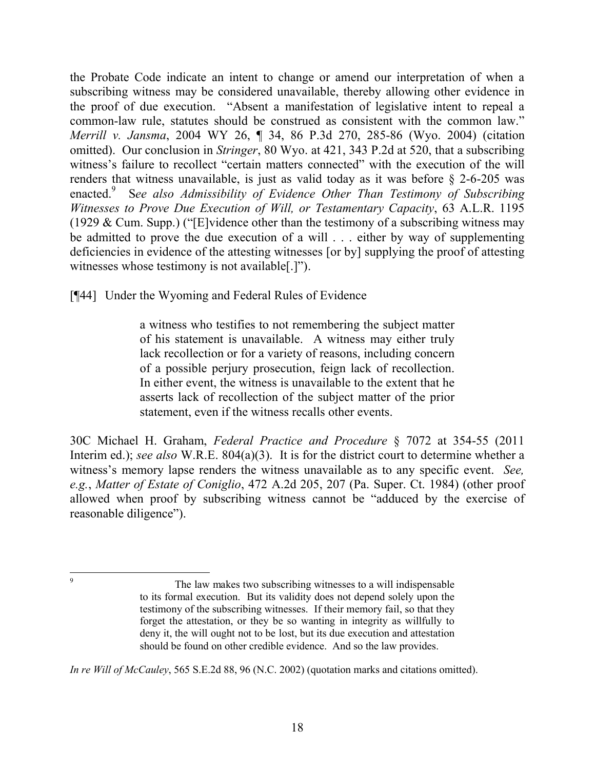the Probate Code indicate an intent to change or amend our interpretation of when a subscribing witness may be considered unavailable, thereby allowing other evidence in the proof of due execution. "Absent a manifestation of legislative intent to repeal a common-law rule, statutes should be construed as consistent with the common law." *Merrill v. Jansma*, 2004 WY 26, ¶ 34, 86 P.3d 270, 285-86 (Wyo. 2004) (citation omitted). Our conclusion in *Stringer*, 80 Wyo. at 421, 343 P.2d at 520, that a subscribing witness's failure to recollect "certain matters connected" with the execution of the will renders that witness unavailable, is just as valid today as it was before  $\S$  2-6-205 was enacted. 9 S*ee also Admissibility of Evidence Other Than Testimony of Subscribing Witnesses to Prove Due Execution of Will, or Testamentary Capacity*, 63 A.L.R. 1195 (1929 & Cum. Supp.) ("[E]vidence other than the testimony of a subscribing witness may be admitted to prove the due execution of a will . . . either by way of supplementing deficiencies in evidence of the attesting witnesses [or by] supplying the proof of attesting witnesses whose testimony is not available[.]").

[¶44] Under the Wyoming and Federal Rules of Evidence

a witness who testifies to not remembering the subject matter of his statement is unavailable. A witness may either truly lack recollection or for a variety of reasons, including concern of a possible perjury prosecution, feign lack of recollection. In either event, the witness is unavailable to the extent that he asserts lack of recollection of the subject matter of the prior statement, even if the witness recalls other events.

30C Michael H. Graham, *Federal Practice and Procedure* § 7072 at 354-55 (2011 Interim ed.); *see also* W.R.E. 804(a)(3). It is for the district court to determine whether a witness's memory lapse renders the witness unavailable as to any specific event. *See, e.g.*, *Matter of Estate of Coniglio*, 472 A.2d 205, 207 (Pa. Super. Ct. 1984) (other proof allowed when proof by subscribing witness cannot be "adduced by the exercise of reasonable diligence").

*In re Will of McCauley*, 565 S.E.2d 88, 96 (N.C. 2002) (quotation marks and citations omitted).

The law makes two subscribing witnesses to a will indispensable to its formal execution. But its validity does not depend solely upon the testimony of the subscribing witnesses. If their memory fail, so that they forget the attestation, or they be so wanting in integrity as willfully to deny it, the will ought not to be lost, but its due execution and attestation should be found on other credible evidence. And so the law provides.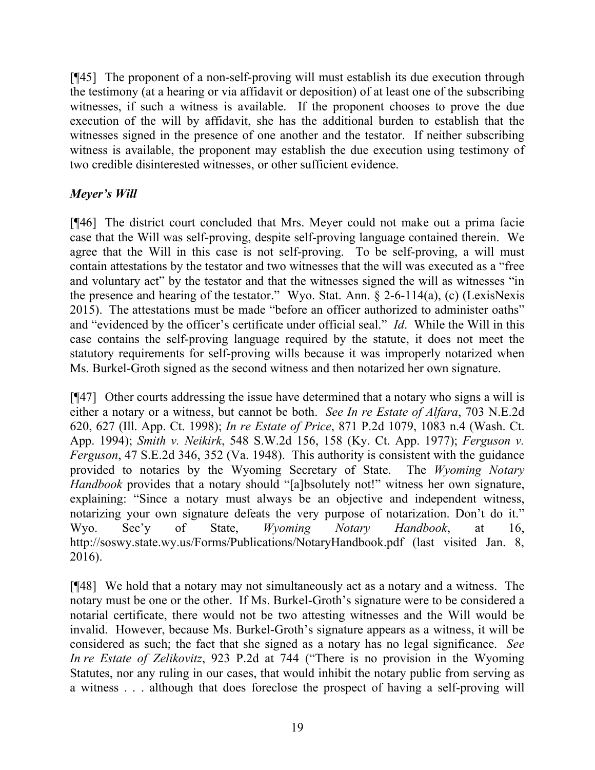[¶45] The proponent of a non-self-proving will must establish its due execution through the testimony (at a hearing or via affidavit or deposition) of at least one of the subscribing witnesses, if such a witness is available. If the proponent chooses to prove the due execution of the will by affidavit, she has the additional burden to establish that the witnesses signed in the presence of one another and the testator. If neither subscribing witness is available, the proponent may establish the due execution using testimony of two credible disinterested witnesses, or other sufficient evidence.

# *Meyer's Will*

[¶46] The district court concluded that Mrs. Meyer could not make out a prima facie case that the Will was self-proving, despite self-proving language contained therein. We agree that the Will in this case is not self-proving. To be self-proving, a will must contain attestations by the testator and two witnesses that the will was executed as a "free and voluntary act" by the testator and that the witnesses signed the will as witnesses "in the presence and hearing of the testator." Wyo. Stat. Ann. § 2-6-114(a), (c) (LexisNexis 2015). The attestations must be made "before an officer authorized to administer oaths" and "evidenced by the officer's certificate under official seal." *Id*. While the Will in this case contains the self-proving language required by the statute, it does not meet the statutory requirements for self-proving wills because it was improperly notarized when Ms. Burkel-Groth signed as the second witness and then notarized her own signature.

[¶47] Other courts addressing the issue have determined that a notary who signs a will is either a notary or a witness, but cannot be both. *See In re Estate of Alfara*, 703 N.E.2d 620, 627 (Ill. App. Ct. 1998); *In re Estate of Price*, 871 P.2d 1079, 1083 n.4 (Wash. Ct. App. 1994); *Smith v. Neikirk*, 548 S.W.2d 156, 158 (Ky. Ct. App. 1977); *Ferguson v. Ferguson*, 47 S.E.2d 346, 352 (Va. 1948). This authority is consistent with the guidance provided to notaries by the Wyoming Secretary of State. The *Wyoming Notary Handbook* provides that a notary should "[a]bsolutely not!" witness her own signature, explaining: "Since a notary must always be an objective and independent witness, notarizing your own signature defeats the very purpose of notarization. Don't do it." Wyo. Sec'y of State, *Wyoming Notary Handbook*, at 16, http://soswy.state.wy.us/Forms/Publications/NotaryHandbook.pdf (last visited Jan. 8, 2016).

[¶48] We hold that a notary may not simultaneously act as a notary and a witness. The notary must be one or the other. If Ms. Burkel-Groth's signature were to be considered a notarial certificate, there would not be two attesting witnesses and the Will would be invalid. However, because Ms. Burkel-Groth's signature appears as a witness, it will be considered as such; the fact that she signed as a notary has no legal significance. *See In re Estate of Zelikovitz*, 923 P.2d at 744 ("There is no provision in the Wyoming Statutes, nor any ruling in our cases, that would inhibit the notary public from serving as a witness . . . although that does foreclose the prospect of having a self-proving will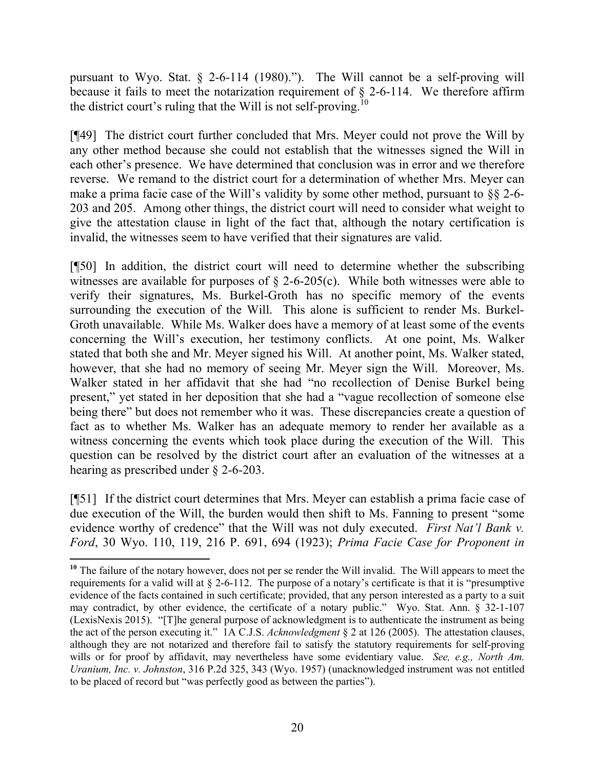pursuant to Wyo. Stat. § 2-6-114 (1980)."). The Will cannot be a self-proving will because it fails to meet the notarization requirement of  $\S$  2-6-114. We therefore affirm the district court's ruling that the Will is not self-proving.<sup>10</sup>

[¶49] The district court further concluded that Mrs. Meyer could not prove the Will by any other method because she could not establish that the witnesses signed the Will in each other's presence. We have determined that conclusion was in error and we therefore reverse. We remand to the district court for a determination of whether Mrs. Meyer can make a prima facie case of the Will's validity by some other method, pursuant to §§ 2-6- 203 and 205. Among other things, the district court will need to consider what weight to give the attestation clause in light of the fact that, although the notary certification is invalid, the witnesses seem to have verified that their signatures are valid.

[¶50] In addition, the district court will need to determine whether the subscribing witnesses are available for purposes of  $\S$  2-6-205(c). While both witnesses were able to verify their signatures, Ms. Burkel-Groth has no specific memory of the events surrounding the execution of the Will. This alone is sufficient to render Ms. Burkel-Groth unavailable. While Ms. Walker does have a memory of at least some of the events concerning the Will's execution, her testimony conflicts. At one point, Ms. Walker stated that both she and Mr. Meyer signed his Will. At another point, Ms. Walker stated, however, that she had no memory of seeing Mr. Meyer sign the Will. Moreover, Ms. Walker stated in her affidavit that she had "no recollection of Denise Burkel being present," yet stated in her deposition that she had a "vague recollection of someone else being there" but does not remember who it was. These discrepancies create a question of fact as to whether Ms. Walker has an adequate memory to render her available as a witness concerning the events which took place during the execution of the Will. This question can be resolved by the district court after an evaluation of the witnesses at a hearing as prescribed under § 2-6-203.

[¶51] If the district court determines that Mrs. Meyer can establish a prima facie case of due execution of the Will, the burden would then shift to Ms. Fanning to present "some evidence worthy of credence" that the Will was not duly executed. *First Nat'l Bank v. Ford*, 30 Wyo. 110, 119, 216 P. 691, 694 (1923); *Prima Facie Case for Proponent in* 

**<sup>10</sup>** The failure of the notary however, does not per se render the Will invalid. The Will appears to meet the requirements for a valid will at § 2-6-112. The purpose of a notary's certificate is that it is "presumptive evidence of the facts contained in such certificate; provided, that any person interested as a party to a suit may contradict, by other evidence, the certificate of a notary public." Wyo. Stat. Ann. § 32-1-107 (LexisNexis 2015). "[T]he general purpose of acknowledgment is to authenticate the instrument as being the act of the person executing it." 1A C.J.S. *Acknowledgment* § 2 at 126 (2005). The attestation clauses, although they are not notarized and therefore fail to satisfy the statutory requirements for self-proving wills or for proof by affidavit, may nevertheless have some evidentiary value. *See, e.g., North Am. Uranium, Inc. v. Johnston*, 316 P.2d 325, 343 (Wyo. 1957) (unacknowledged instrument was not entitled to be placed of record but "was perfectly good as between the parties").